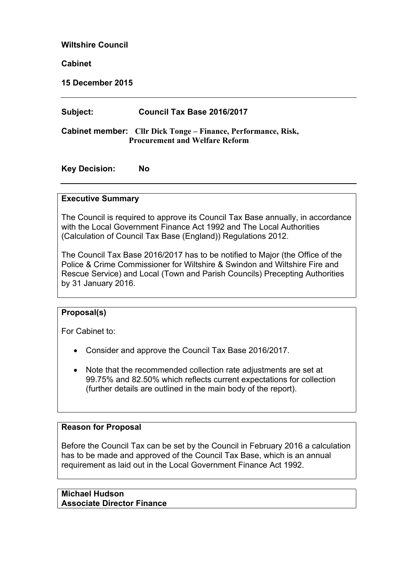**Wiltshire Council**

**Cabinet**

**15 December 2015**

# **Subject: Council Tax Base 2016/2017**

**Cabinet member: Cllr Dick Tonge – Finance, Performance, Risk, Procurement and Welfare Reform**

**Key Decision: No**

## **Executive Summary**

The Council is required to approve its Council Tax Base annually, in accordance with the Local Government Finance Act 1992 and The Local Authorities (Calculation of Council Tax Base (England)) Regulations 2012.

The Council Tax Base 2016/2017 has to be notified to Major (the Office of the Police & Crime Commissioner for Wiltshire & Swindon and Wiltshire Fire and Rescue Service) and Local (Town and Parish Councils) Precepting Authorities by 31 January 2016.

## **Proposal(s)**

For Cabinet to:

- Consider and approve the Council Tax Base 2016/2017.
- Note that the recommended collection rate adjustments are set at 99.75% and 82.50% which reflects current expectations for collection (further details are outlined in the main body of the report).

## **Reason for Proposal**

Before the Council Tax can be set by the Council in February 2016 a calculation has to be made and approved of the Council Tax Base, which is an annual requirement as laid out in the Local Government Finance Act 1992.

**Michael Hudson Associate Director Finance**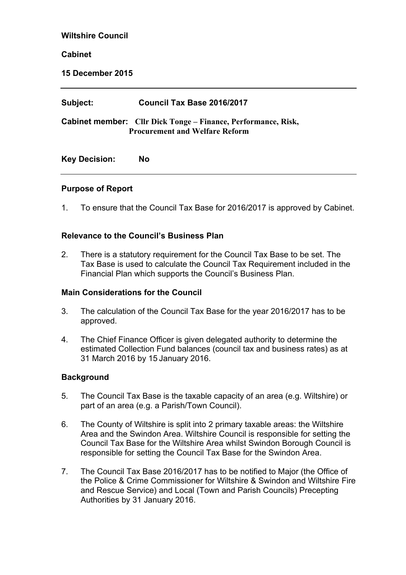## **Wiltshire Council**

## **Cabinet**

**15 December 2015**

| Subject:             | Council Tax Base 2016/2017                                                                                    |
|----------------------|---------------------------------------------------------------------------------------------------------------|
|                      | <b>Cabinet member:</b> Cllr Dick Tonge – Finance, Performance, Risk,<br><b>Procurement and Welfare Reform</b> |
| <b>Key Decision:</b> | No                                                                                                            |

#### **Purpose of Report**

1. To ensure that the Council Tax Base for 2016/2017 is approved by Cabinet.

## **Relevance to the Council's Business Plan**

2. There is a statutory requirement for the Council Tax Base to be set. The Tax Base is used to calculate the Council Tax Requirement included in the Financial Plan which supports the Council's Business Plan.

#### **Main Considerations for the Council**

- 3. The calculation of the Council Tax Base for the year 2016/2017 has to be approved.
- 4. The Chief Finance Officer is given delegated authority to determine the estimated Collection Fund balances (council tax and business rates) as at 31 March 2016 by 15 January 2016.

#### **Background**

- 5. The Council Tax Base is the taxable capacity of an area (e.g. Wiltshire) or part of an area (e.g. a Parish/Town Council).
- 6. The County of Wiltshire is split into 2 primary taxable areas: the Wiltshire Area and the Swindon Area. Wiltshire Council is responsible for setting the Council Tax Base for the Wiltshire Area whilst Swindon Borough Council is responsible for setting the Council Tax Base for the Swindon Area.
- 7. The Council Tax Base 2016/2017 has to be notified to Major (the Office of the Police & Crime Commissioner for Wiltshire & Swindon and Wiltshire Fire and Rescue Service) and Local (Town and Parish Councils) Precepting Authorities by 31 January 2016.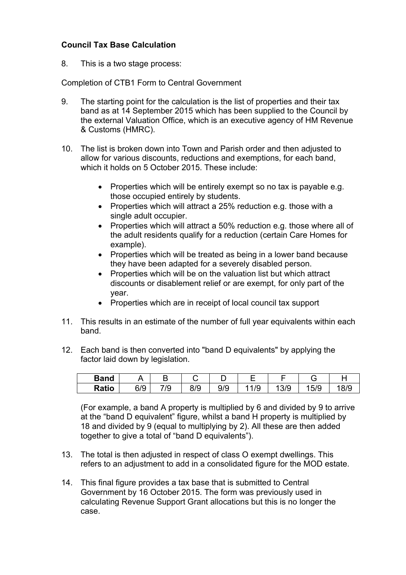# **Council Tax Base Calculation**

8. This is a two stage process:

Completion of CTB1 Form to Central Government

- 9. The starting point for the calculation is the list of properties and their tax band as at 14 September 2015 which has been supplied to the Council by the external Valuation Office, which is an executive agency of HM Revenue & Customs (HMRC).
- 10. The list is broken down into Town and Parish order and then adjusted to allow for various discounts, reductions and exemptions, for each band, which it holds on 5 October 2015. These include:
	- Properties which will be entirely exempt so no tax is payable e.g. those occupied entirely by students.
	- Properties which will attract a 25% reduction e.g. those with a single adult occupier.
	- Properties which will attract a 50% reduction e.g. those where all of the adult residents qualify for a reduction (certain Care Homes for example).
	- Properties which will be treated as being in a lower band because they have been adapted for a severely disabled person.
	- Properties which will be on the valuation list but which attract discounts or disablement relief or are exempt, for only part of the year.
	- Properties which are in receipt of local council tax support
- 11. This results in an estimate of the number of full year equivalents within each band.
- 12. Each band is then converted into "band D equivalents" by applying the factor laid down by legislation.

| <b>Band</b>  |     |                                     |     |             |                         |     |                    |     |
|--------------|-----|-------------------------------------|-----|-------------|-------------------------|-----|--------------------|-----|
| <b>Ratio</b> | 6/9 | 70 <sup>2</sup><br>. .<br><b>IV</b> | 8/9 | a/o<br>ت ات | $\overline{10}$<br>17 J | 3/9 | F/0<br><u>ui u</u> | 0/0 |

(For example, a band A property is multiplied by 6 and divided by 9 to arrive at the "band D equivalent" figure, whilst a band H property is multiplied by 18 and divided by 9 (equal to multiplying by 2). All these are then added together to give a total of "band D equivalents").

- 13. The total is then adjusted in respect of class O exempt dwellings. This refers to an adjustment to add in a consolidated figure for the MOD estate.
- 14. This final figure provides a tax base that is submitted to Central Government by 16 October 2015. The form was previously used in calculating Revenue Support Grant allocations but this is no longer the case.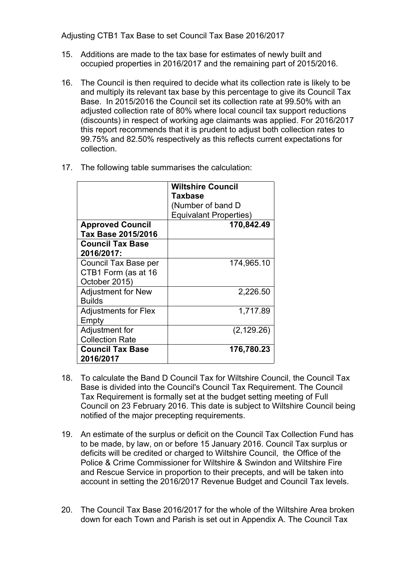Adjusting CTB1 Tax Base to set Council Tax Base 2016/2017

- 15. Additions are made to the tax base for estimates of newly built and occupied properties in 2016/2017 and the remaining part of 2015/2016.
- 16. The Council is then required to decide what its collection rate is likely to be and multiply its relevant tax base by this percentage to give its Council Tax Base. In 2015/2016 the Council set its collection rate at 99.50% with an adjusted collection rate of 80% where local council tax support reductions (discounts) in respect of working age claimants was applied. For 2016/2017 this report recommends that it is prudent to adjust both collection rates to 99.75% and 82.50% respectively as this reflects current expectations for collection.

|                                                              | <b>Wiltshire Council</b><br>Taxbase |
|--------------------------------------------------------------|-------------------------------------|
|                                                              | (Number of band D                   |
|                                                              | <b>Equivalant Properties)</b>       |
| <b>Approved Council</b><br>Tax Base 2015/2016                | 170,842.49                          |
| <b>Council Tax Base</b><br>2016/2017:                        |                                     |
| Council Tax Base per<br>CTB1 Form (as at 16<br>October 2015) | 174,965.10                          |
| <b>Adjustment for New</b><br>Builds                          | 2,226.50                            |
| <b>Adjustments for Flex</b><br>Empty                         | 1,717.89                            |
| Adjustment for<br><b>Collection Rate</b>                     | (2, 129.26)                         |
| <b>Council Tax Base</b><br>2016/2017                         | 176,780.23                          |

17. The following table summarises the calculation:

- 18. To calculate the Band D Council Tax for Wiltshire Council, the Council Tax Base is divided into the Council's Council Tax Requirement. The Council Tax Requirement is formally set at the budget setting meeting of Full Council on 23 February 2016. This date is subject to Wiltshire Council being notified of the major precepting requirements.
- 19. An estimate of the surplus or deficit on the Council Tax Collection Fund has to be made, by law, on or before 15 January 2016. Council Tax surplus or deficits will be credited or charged to Wiltshire Council, the Office of the Police & Crime Commissioner for Wiltshire & Swindon and Wiltshire Fire and Rescue Service in proportion to their precepts, and will be taken into account in setting the 2016/2017 Revenue Budget and Council Tax levels.
- 20. The Council Tax Base 2016/2017 for the whole of the Wiltshire Area broken down for each Town and Parish is set out in Appendix A. The Council Tax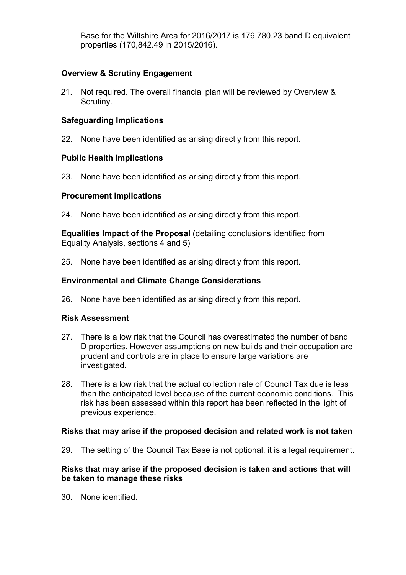Base for the Wiltshire Area for 2016/2017 is 176,780.23 band D equivalent properties (170,842.49 in 2015/2016).

# **Overview & Scrutiny Engagement**

21. Not required. The overall financial plan will be reviewed by Overview & Scrutiny.

## **Safeguarding Implications**

22. None have been identified as arising directly from this report.

## **Public Health Implications**

23. None have been identified as arising directly from this report.

#### **Procurement Implications**

24. None have been identified as arising directly from this report.

**Equalities Impact of the Proposal** (detailing conclusions identified from Equality Analysis, sections 4 and 5)

25. None have been identified as arising directly from this report.

#### **Environmental and Climate Change Considerations**

26. None have been identified as arising directly from this report.

## **Risk Assessment**

- 27. There is a low risk that the Council has overestimated the number of band D properties. However assumptions on new builds and their occupation are prudent and controls are in place to ensure large variations are investigated.
- 28. There is a low risk that the actual collection rate of Council Tax due is less than the anticipated level because of the current economic conditions. This risk has been assessed within this report has been reflected in the light of previous experience.

## **Risks that may arise if the proposed decision and related work is not taken**

29. The setting of the Council Tax Base is not optional, it is a legal requirement.

#### **Risks that may arise if the proposed decision is taken and actions that will be taken to manage these risks**

30. None identified.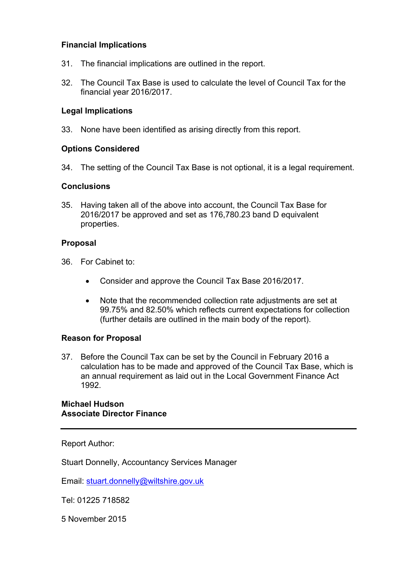# **Financial Implications**

- 31. The financial implications are outlined in the report.
- 32. The Council Tax Base is used to calculate the level of Council Tax for the financial year 2016/2017.

## **Legal Implications**

33. None have been identified as arising directly from this report.

## **Options Considered**

34. The setting of the Council Tax Base is not optional, it is a legal requirement.

#### **Conclusions**

35. Having taken all of the above into account, the Council Tax Base for 2016/2017 be approved and set as 176,780.23 band D equivalent properties.

#### **Proposal**

- 36. For Cabinet to:
	- Consider and approve the Council Tax Base 2016/2017.
	- Note that the recommended collection rate adjustments are set at 99.75% and 82.50% which reflects current expectations for collection (further details are outlined in the main body of the report).

## **Reason for Proposal**

37. Before the Council Tax can be set by the Council in February 2016 a calculation has to be made and approved of the Council Tax Base, which is an annual requirement as laid out in the Local Government Finance Act 1992.

#### **Michael Hudson Associate Director Finance**

Report Author:

Stuart Donnelly, Accountancy Services Manager

Email: [stuart.donnelly@wiltshire.gov.uk](mailto:stuart.donnelly@wiltshire.gov.uk)

Tel: 01225 718582

5 November 2015